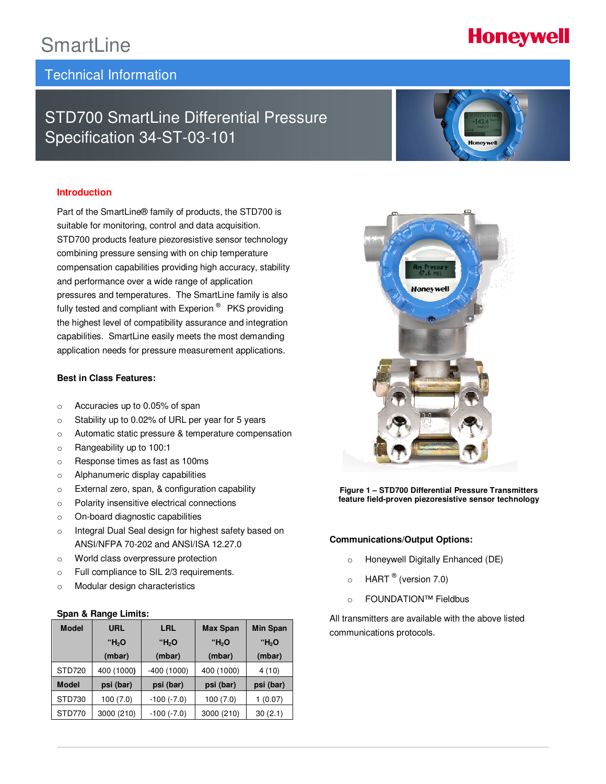## **SmartLine**

### Technical Information

## STD700 SmartLine Differential Pressure Specification 34-ST-03-101

#### **Introduction**

Part of the SmartLine® family of products, the STD700 is suitable for monitoring, control and data acquisition. STD700 products feature piezoresistive sensor technology combining pressure sensing with on chip temperature compensation capabilities providing high accuracy, stability and performance over a wide range of application pressures and temperatures. The SmartLine family is also fully tested and compliant with Experion<sup>®</sup> PKS providing the highest level of compatibility assurance and integration capabilities. SmartLine easily meets the most demanding application needs for pressure measurement applications.

#### **Best in Class Features:**

- o Accuracies up to 0.05% of span
- o Stability up to 0.02% of URL per year for 5 years
- o Automatic static pressure & temperature compensation
- o Rangeability up to 100:1
- o Response times as fast as 100ms
- o Alphanumeric display capabilities
- o External zero, span, & configuration capability
- o Polarity insensitive electrical connections
- o On-board diagnostic capabilities
- o Integral Dual Seal design for highest safety based on ANSI/NFPA 70-202 and ANSI/ISA 12.27.0
- o World class overpressure protection
- o Full compliance to SIL 2/3 requirements.
- o Modular design characteristics

#### **Span & Range Limits:**

| <b>Model</b>  | URL        | LRL               | <b>Max Span</b> | <b>Min Span</b>   |
|---------------|------------|-------------------|-----------------|-------------------|
|               | "Н,О       | "Н,О              | "Н,О            | "H <sub>2</sub> O |
|               | (mbar)     | (mbar)            | (mbar)          | (mbar)            |
| <b>STD720</b> | 400 (1000) | $-400(1000)$      | 400 (1000)      | 4(10)             |
| <b>Model</b>  | psi (bar)  | psi (bar)         | psi (bar)       | psi (bar)         |
| STD730        | 100 (7.0)  | $-100$ $(-7.0)$   | 100(7.0)        | (0.07)            |
| STD770        | 3000 (210) | $-100$ ( $-7.0$ ) | 3000 (210)      | 30(2.1)           |





ī

**Figure 1 – STD700 Differential Pressure Transmitters feature field-proven piezoresistive sensor technology** 

#### **Communications/Output Options:**

- o Honeywell Digitally Enhanced (DE)
- $\circ$  HART  $^\circ$  (version 7.0)
- o FOUNDATION™ Fieldbus

All transmitters are available with the above listed communications protocols.

# **Honeywell**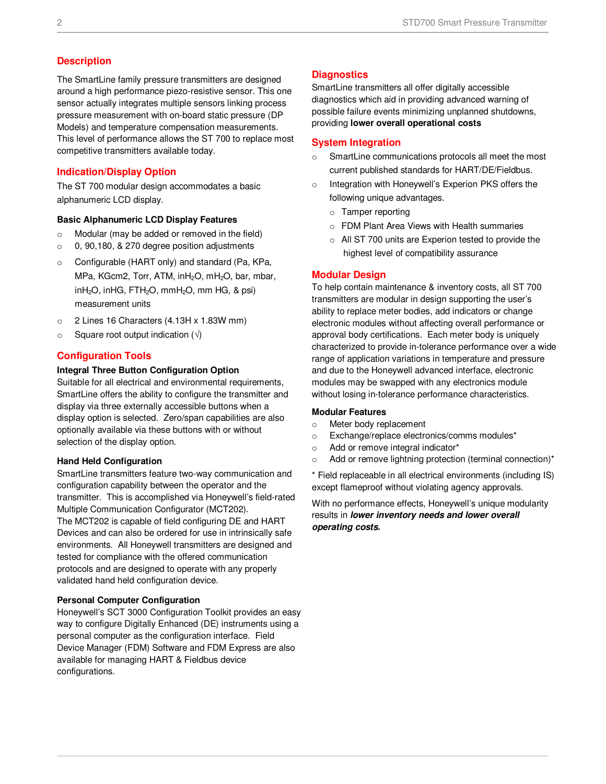### **Description**

The SmartLine family pressure transmitters are designed around a high performance piezo-resistive sensor. This one sensor actually integrates multiple sensors linking process pressure measurement with on-board static pressure (DP Models) and temperature compensation measurements. This level of performance allows the ST 700 to replace most competitive transmitters available today.

### **Indication/Display Option**

The ST 700 modular design accommodates a basic alphanumeric LCD display.

#### **Basic Alphanumeric LCD Display Features**

- o Modular (may be added or removed in the field)
- o 0, 90,180, & 270 degree position adjustments
- o Configurable (HART only) and standard (Pa, KPa, MPa, KGcm2, Torr, ATM, inH<sub>2</sub>O, mH<sub>2</sub>O, bar, mbar,  $inH<sub>2</sub>O$ ,  $inHG$ ,  $FTH<sub>2</sub>O$ ,  $mmH<sub>2</sub>O$ ,  $mmHG$ , & psi) measurement units
- o 2 Lines 16 Characters (4.13H x 1.83W mm)
- $\circ$  Square root output indication ( $\sqrt{ }$ )

#### **Configuration Tools**

#### **Integral Three Button Configuration Option**

Suitable for all electrical and environmental requirements, SmartLine offers the ability to configure the transmitter and display via three externally accessible buttons when a display option is selected. Zero/span capabilities are also optionally available via these buttons with or without selection of the display option.

#### **Hand Held Configuration**

SmartLine transmitters feature two-way communication and configuration capability between the operator and the transmitter. This is accomplished via Honeywell's field-rated Multiple Communication Configurator (MCT202). The MCT202 is capable of field configuring DE and HART

Devices and can also be ordered for use in intrinsically safe environments. All Honeywell transmitters are designed and tested for compliance with the offered communication protocols and are designed to operate with any properly validated hand held configuration device.

#### **Personal Computer Configuration**

Honeywell's SCT 3000 Configuration Toolkit provides an easy way to configure Digitally Enhanced (DE) instruments using a personal computer as the configuration interface. Field Device Manager (FDM) Software and FDM Express are also available for managing HART & Fieldbus device configurations.

### **Diagnostics**

SmartLine transmitters all offer digitally accessible diagnostics which aid in providing advanced warning of possible failure events minimizing unplanned shutdowns, providing **lower overall operational costs**

#### **System Integration**

- o SmartLine communications protocols all meet the most current published standards for HART/DE/Fieldbus.
- o Integration with Honeywell's Experion PKS offers the following unique advantages.
	- o Tamper reporting
	- o FDM Plant Area Views with Health summaries
	- o All ST 700 units are Experion tested to provide the highest level of compatibility assurance

#### **Modular Design**

To help contain maintenance & inventory costs, all ST 700 transmitters are modular in design supporting the user's ability to replace meter bodies, add indicators or change electronic modules without affecting overall performance or approval body certifications. Each meter body is uniquely characterized to provide in-tolerance performance over a wide range of application variations in temperature and pressure and due to the Honeywell advanced interface, electronic modules may be swapped with any electronics module without losing in-tolerance performance characteristics.

#### **Modular Features**

- o Meter body replacement
- o Exchange/replace electronics/comms modules\*
- o Add or remove integral indicator\*
- o Add or remove lightning protection (terminal connection)\*

\* Field replaceable in all electrical environments (including IS) except flameproof without violating agency approvals.

With no performance effects, Honeywell's unique modularity results in **lower inventory needs and lower overall operating costs.**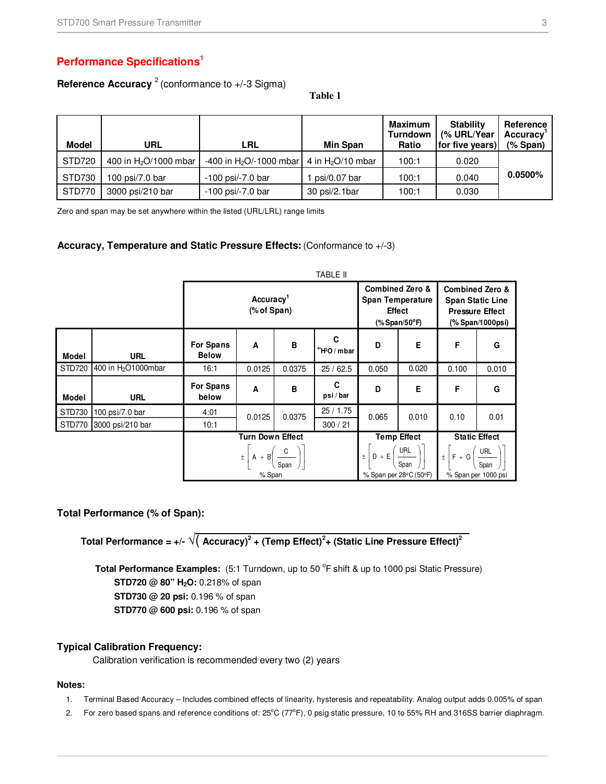### **Performance Specifications<sup>1</sup>**

### **Reference Accuracy** <sup>2</sup> (conformance to +/-3 Sigma)

**Table 1** 

| Model  | URL                     | LRL                        | <b>Min Span</b>     | <b>Maximum</b><br><b>Turndown</b><br>Ratio | <b>Stability</b><br>(% URL/Year<br>for five years) | Reference<br>Accuracy <sup>'</sup><br>$(%$ Span $)$ |
|--------|-------------------------|----------------------------|---------------------|--------------------------------------------|----------------------------------------------------|-----------------------------------------------------|
| STD720 | 400 in $H_2O/1000$ mbar | -400 in $H_2O$ /-1000 mbar | 4 in $H_2O/10$ mbar | 100:1                                      | 0.020                                              |                                                     |
| STD730 | 100 psi/7.0 bar         | $-100$ psi/ $-7.0$ bar     | psi/0.07 bar        | 100:1                                      | 0.040                                              | $0.0500\%$                                          |
| STD770 | 3000 psi/210 bar        | $-100$ psi/ $-7.0$ bar     | 30 psi/2.1bar       | 100:1                                      | 0.030                                              |                                                     |

Zero and span may be set anywhere within the listed (URL/LRL) range limits

#### **Accuracy, Temperature and Static Pressure Effects:** (Conformance to +/-3)

|              |                                 |                                      | <b>TABLE II</b>                                     |        |                  |                         |                                                                                  |                                                          |                                                                                                     |
|--------------|---------------------------------|--------------------------------------|-----------------------------------------------------|--------|------------------|-------------------------|----------------------------------------------------------------------------------|----------------------------------------------------------|-----------------------------------------------------------------------------------------------------|
|              |                                 | Accuracy <sup>1</sup><br>(% of Span) |                                                     |        |                  | <b>Span Temperature</b> | <b>Combined Zero &amp;</b><br><b>Effect</b><br>(% Span/50 $\mathrm{^{\circ}F}$ ) |                                                          | <b>Combined Zero &amp;</b><br><b>Span Static Line</b><br><b>Pressure Effect</b><br>(% Span/1000psi) |
| <b>Model</b> | <b>URL</b>                      | <b>For Spans</b><br><b>Below</b>     | A                                                   | B      | C<br>"H2O / mbar | D                       | E                                                                                | F                                                        | G                                                                                                   |
| STD720       | 400 in H <sub>2</sub> O1000mbar | 16:1                                 | 0.0125                                              | 0.0375 | 25/62.5          | 0.050                   | 0.020                                                                            | 0.100                                                    | 0.010                                                                                               |
| <b>Model</b> | <b>URL</b>                      | <b>For Spans</b><br>below            | A                                                   | B      | C<br>psi/bar     | D                       | E                                                                                | F                                                        | G                                                                                                   |
| STD730       | 100 psi/7.0 bar                 | 4:01                                 | 0.0125                                              | 0.0375 | 25/1.75          | 0.065                   | 0.010                                                                            | 0.10                                                     | 0.01                                                                                                |
| STD770       | 3000 psi/210 bar                | 10:1                                 |                                                     |        | 300 / 21         |                         |                                                                                  |                                                          |                                                                                                     |
|              |                                 | <b>Turn Down Effect</b>              |                                                     |        |                  | <b>Temp Effect</b>      |                                                                                  | <b>Static Effect</b>                                     |                                                                                                     |
|              |                                 |                                      | $\pm$ A + B $\left(\frac{C}{Span}\right)$<br>% Span |        |                  | $D + E$<br>$\pm$        | $\frac{\text{URL}}{\text{L}}$<br>Span<br>% Span per 28°C (50°F)                  | $\pm$ $F + G \left( \frac{\text{URL}}{\text{L}} \right)$ | Span<br>% Span per 1000 psi                                                                         |

#### **Total Performance (% of Span):**

**Total Performance = +/-** √( **Accuracy)<sup>2</sup> + (Temp Effect)<sup>2</sup> + (Static Line Pressure Effect)<sup>2</sup>**

Total Performance Examples: (5:1 Turndown, up to 50 <sup>o</sup>F shift & up to 1000 psi Static Pressure) **STD720 @ 80" H2O:** 0.218% of span

**STD730 @ 20 psi:** 0.196 % of span

**STD770 @ 600 psi:** 0.196 % of span

#### **Typical Calibration Frequency:**

Calibration verification is recommended every two (2) years

### **Notes:**

- 1. Terminal Based Accuracy Includes combined effects of linearity, hysteresis and repeatability. Analog output adds 0.005% of span
- 2. For zero based spans and reference conditions of:  $25^{\circ}C$  ( $77^{\circ}F$ ), 0 psig static pressure, 10 to 55% RH and 316SS barrier diaphragm.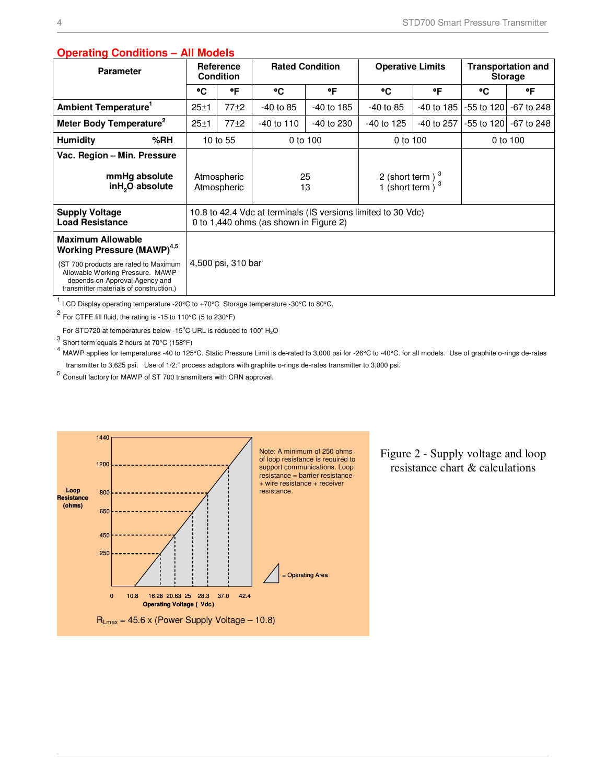| operating containons                                                                                                                                   | AII MUUCIJ                                                                                              |                    |                                           |            |                         |            |                                             |              |
|--------------------------------------------------------------------------------------------------------------------------------------------------------|---------------------------------------------------------------------------------------------------------|--------------------|-------------------------------------------|------------|-------------------------|------------|---------------------------------------------|--------------|
| <b>Parameter</b>                                                                                                                                       | Reference<br><b>Condition</b>                                                                           |                    | <b>Rated Condition</b>                    |            | <b>Operative Limits</b> |            | <b>Transportation and</b><br><b>Storage</b> |              |
|                                                                                                                                                        | ۰c                                                                                                      | °F                 | ۰c                                        | ۰F         | ۰c                      | ۰F         | ۰c                                          | ۰F           |
| Ambient Temperature <sup>1</sup>                                                                                                                       | 25±1                                                                                                    | 77±2               | $-40$ to 85                               | -40 to 185 | $-40$ to 85             | -40 to 185 | -55 to 120                                  | $-67$ to 248 |
| Meter Body Temperature <sup>2</sup>                                                                                                                    | $25 + 1$                                                                                                | 77±2               | -40 to 110                                | -40 to 230 | $-40$ to 125            | -40 to 257 | -55 to 120                                  | -67 to 248   |
| % $RH$<br><b>Humidity</b>                                                                                                                              |                                                                                                         | 10 to 55           |                                           | 0 to 100   | 0 to 100                |            | 0 to 100                                    |              |
| Vac. Region - Min. Pressure<br>mmHg absolute<br>inH <sub>2</sub> O absolute                                                                            | 25<br>Atmospheric<br>Atmospheric<br>13                                                                  |                    | 2 (short term) $3$<br>1 (short term $1^3$ |            |                         |            |                                             |              |
| <b>Supply Voltage</b><br><b>Load Resistance</b>                                                                                                        | 10.8 to 42.4 Vdc at terminals (IS versions limited to 30 Vdc)<br>0 to 1,440 ohms (as shown in Figure 2) |                    |                                           |            |                         |            |                                             |              |
| <b>Maximum Allowable</b><br><b>Working Pressure (MAWP)</b> <sup>4,5</sup>                                                                              |                                                                                                         |                    |                                           |            |                         |            |                                             |              |
| (ST 700 products are rated to Maximum<br>Allowable Working Pressure. MAWP<br>depends on Approval Agency and<br>transmitter materials of construction.) |                                                                                                         | 4,500 psi, 310 bar |                                           |            |                         |            |                                             |              |

### **Operating Conditions – All Models**

<sup>1</sup> LCD Display operating temperature -20°C to +70°C Storage temperature -30°C to 80°C.

 $2$  For CTFE fill fluid, the rating is -15 to 110°C (5 to 230°F)

For STD720 at temperatures below -15°C URL is reduced to 100"  $H_2O$ 

 $^3$  Short term equals 2 hours at 70°C (158°F)

<sup>4</sup> MAWP applies for temperatures -40 to 125°C. Static Pressure Limit is de-rated to 3,000 psi for -26°C to -40°C. for all models. Use of graphite o-rings de-rates transmitter to 3,625 psi. Use of 1/2:" process adaptors with graphite o-rings de-rates transmitter to 3,000 psi.

5 Consult factory for MAWP of ST 700 transmitters with CRN approval.



Figure 2 - Supply voltage and loop resistance chart & calculations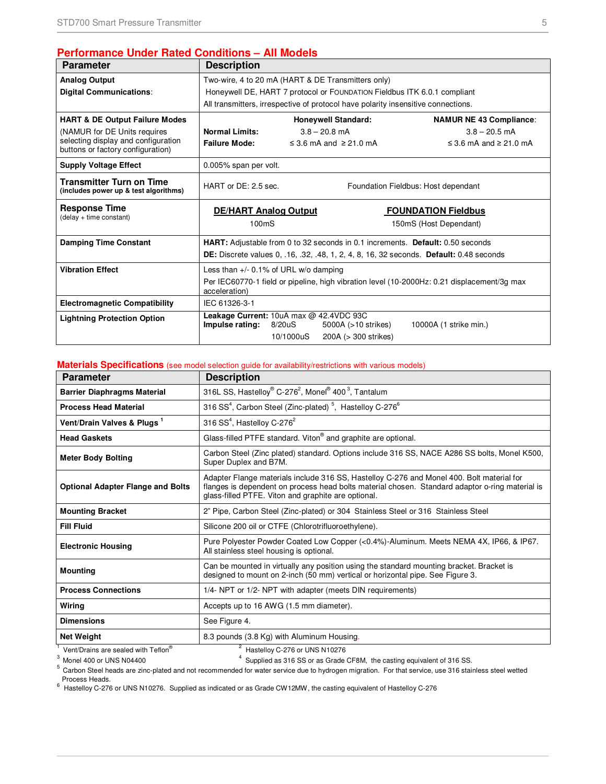### **Performance Under Rated Conditions – All Models**

| <b>Parameter</b>                                                         | <b>Description</b>                                                                                           |                                                                          |                                                                                   |                                                                                                       |  |  |  |
|--------------------------------------------------------------------------|--------------------------------------------------------------------------------------------------------------|--------------------------------------------------------------------------|-----------------------------------------------------------------------------------|-------------------------------------------------------------------------------------------------------|--|--|--|
| <b>Analog Output</b>                                                     |                                                                                                              | Two-wire, 4 to 20 mA (HART & DE Transmitters only)                       |                                                                                   |                                                                                                       |  |  |  |
| <b>Digital Communications:</b>                                           |                                                                                                              | Honeywell DE, HART 7 protocol or FOUNDATION Fieldbus ITK 6.0.1 compliant |                                                                                   |                                                                                                       |  |  |  |
|                                                                          |                                                                                                              |                                                                          | All transmitters, irrespective of protocol have polarity insensitive connections. |                                                                                                       |  |  |  |
| <b>HART &amp; DE Output Failure Modes</b>                                |                                                                                                              |                                                                          | <b>Honeywell Standard:</b>                                                        | <b>NAMUR NE 43 Compliance:</b>                                                                        |  |  |  |
| (NAMUR for DE Units requires                                             | <b>Normal Limits:</b>                                                                                        |                                                                          | $3.8 - 20.8$ mA                                                                   | $3.8 - 20.5$ mA                                                                                       |  |  |  |
| selecting display and configuration<br>buttons or factory configuration) | <b>Failure Mode:</b>                                                                                         |                                                                          | ≤ 3.6 mA and $≥$ 21.0 mA                                                          | ≤ 3.6 mA and ≥ 21.0 mA                                                                                |  |  |  |
| <b>Supply Voltage Effect</b>                                             | 0.005% span per volt.                                                                                        |                                                                          |                                                                                   |                                                                                                       |  |  |  |
| <b>Transmitter Turn on Time</b><br>(includes power up & test algorithms) | HART or DE: 2.5 sec.<br>Foundation Fieldbus: Host dependant                                                  |                                                                          |                                                                                   |                                                                                                       |  |  |  |
| <b>Response Time</b>                                                     | <b>DE/HART Analog Output</b>                                                                                 |                                                                          |                                                                                   | <b>FOUNDATION Fieldbus</b>                                                                            |  |  |  |
| (delay + time constant)                                                  | 100 <sub>ms</sub>                                                                                            |                                                                          |                                                                                   | 150mS (Host Dependant)                                                                                |  |  |  |
| <b>Damping Time Constant</b>                                             |                                                                                                              |                                                                          |                                                                                   | HART: Adjustable from 0 to 32 seconds in 0.1 increments. Default: 0.50 seconds                        |  |  |  |
|                                                                          |                                                                                                              |                                                                          |                                                                                   | <b>DE:</b> Discrete values 0, .16, .32, .48, 1, 2, 4, 8, 16, 32 seconds. <b>Default:</b> 0.48 seconds |  |  |  |
| <b>Vibration Effect</b>                                                  | Less than $+/-$ 0.1% of URL w/o damping                                                                      |                                                                          |                                                                                   |                                                                                                       |  |  |  |
|                                                                          | Per IEC60770-1 field or pipeline, high vibration level (10-2000Hz: 0.21 displacement/3g max<br>acceleration) |                                                                          |                                                                                   |                                                                                                       |  |  |  |
| <b>Electromagnetic Compatibility</b>                                     | IEC 61326-3-1                                                                                                |                                                                          |                                                                                   |                                                                                                       |  |  |  |
|                                                                          | Leakage Current: 10uA max @ 42.4VDC 93C<br>8/20uS<br>10000A (1 strike min.)                                  |                                                                          |                                                                                   |                                                                                                       |  |  |  |
| <b>Lightning Protection Option</b>                                       | Impulse rating:                                                                                              |                                                                          | 5000A (>10 strikes)                                                               |                                                                                                       |  |  |  |

#### **Materials Specifications** (see model selection guide for availability/restrictions with various models)

| <b>Parameter</b>                         | <b>Description</b>                                                                                                                                                                                                                                  |
|------------------------------------------|-----------------------------------------------------------------------------------------------------------------------------------------------------------------------------------------------------------------------------------------------------|
| <b>Barrier Diaphragms Material</b>       | 316L SS, Hastelloy® C-276 <sup>2</sup> , Monel® 400 <sup>3</sup> , Tantalum                                                                                                                                                                         |
| <b>Process Head Material</b>             | 316 SS <sup>4</sup> , Carbon Steel (Zinc-plated) <sup>5</sup> , Hastelloy C-276 <sup>6</sup>                                                                                                                                                        |
| Vent/Drain Valves & Plugs <sup>1</sup>   | 316 $SS4$ , Hastelloy C-276 <sup>2</sup>                                                                                                                                                                                                            |
| <b>Head Gaskets</b>                      | Glass-filled PTFE standard. Viton® and graphite are optional.                                                                                                                                                                                       |
| <b>Meter Body Bolting</b>                | Carbon Steel (Zinc plated) standard. Options include 316 SS, NACE A286 SS bolts, Monel K500,<br>Super Duplex and B7M.                                                                                                                               |
| <b>Optional Adapter Flange and Bolts</b> | Adapter Flange materials include 316 SS, Hastelloy C-276 and Monel 400. Bolt material for<br>flanges is dependent on process head bolts material chosen. Standard adaptor o-ring material is<br>glass-filled PTFE. Viton and graphite are optional. |
| <b>Mounting Bracket</b>                  | 2" Pipe, Carbon Steel (Zinc-plated) or 304 Stainless Steel or 316 Stainless Steel                                                                                                                                                                   |
| <b>Fill Fluid</b>                        | Silicone 200 oil or CTFE (Chlorotrifluoroethylene).                                                                                                                                                                                                 |
| <b>Electronic Housing</b>                | Pure Polyester Powder Coated Low Copper (<0.4%)-Aluminum. Meets NEMA 4X, IP66, & IP67.<br>All stainless steel housing is optional.                                                                                                                  |
| <b>Mounting</b>                          | Can be mounted in virtually any position using the standard mounting bracket. Bracket is<br>designed to mount on 2-inch (50 mm) vertical or horizontal pipe. See Figure 3.                                                                          |
| <b>Process Connections</b>               | 1/4- NPT or 1/2- NPT with adapter (meets DIN requirements)                                                                                                                                                                                          |
| Wiring                                   | Accepts up to 16 AWG (1.5 mm diameter).                                                                                                                                                                                                             |
| <b>Dimensions</b>                        | See Figure 4.                                                                                                                                                                                                                                       |
| <b>Net Weight</b>                        | 8.3 pounds (3.8 Kg) with Aluminum Housing.                                                                                                                                                                                                          |
| Vent/Drains are sealed with Teflon®      | Hastelloy C-276 or UNS N10276                                                                                                                                                                                                                       |

 $^1$  Vent/Drains are sealed with Teflon®  $^2$  Hastelloy C-276 or UNS N10276<br><sup>3</sup> Monel 400 or UNS N04400  $^4$  Supplied as 316 SS or as Grade CF8M, the casting equivalent of 316 SS.<br><sup>5</sup> Carbon Steel heads are zinc-plated an

Process Heads.<br><sup>6</sup> Hastelloy C-276 or UNS N10276. Supplied as indicated or as Grade CW12MW, the casting equivalent of Hastelloy C-276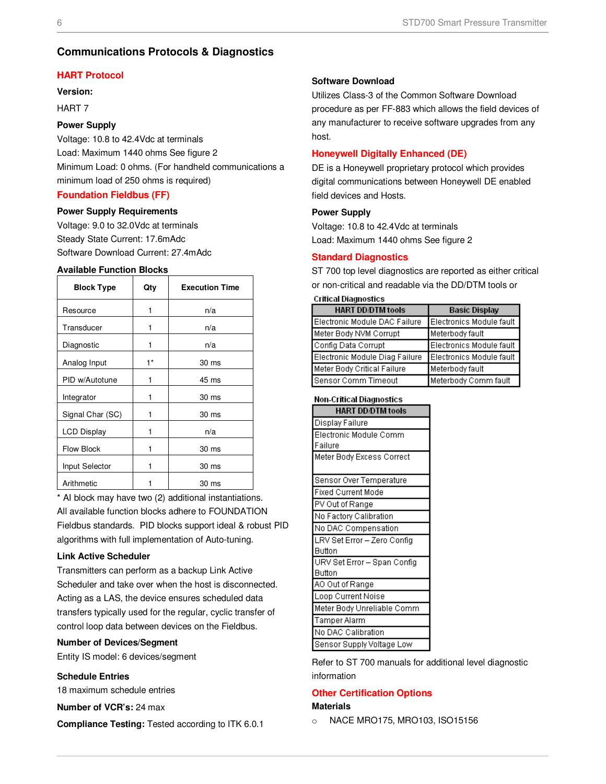### **Communications Protocols & Diagnostics**

#### **HART Protocol**

#### **Version:**

HART 7

#### **Power Supply**

Voltage: 10.8 to 42.4Vdc at terminals Load: Maximum 1440 ohms See figure 2 Minimum Load: 0 ohms. (For handheld communications a minimum load of 250 ohms is required)

### **Foundation Fieldbus (FF)**

#### **Power Supply Requirements**

Voltage: 9.0 to 32.0Vdc at terminals Steady State Current: 17.6mAdc Software Download Current: 27.4mAdc

#### **Available Function Blocks**

| <b>Block Type</b>  | Qty  | <b>Execution Time</b> |
|--------------------|------|-----------------------|
| Resource           | 1    | n/a                   |
| Transducer         | 1    | n/a                   |
| Diagnostic         | 1    | n/a                   |
| Analog Input       | $1*$ | 30 ms                 |
| PID w/Autotune     | 1    | 45 ms                 |
| Integrator         | 1    | 30 ms                 |
| Signal Char (SC)   | 1    | 30 ms                 |
| <b>LCD Display</b> | 1    | n/a                   |
| <b>Flow Block</b>  | 1    | 30 ms                 |
| Input Selector     |      | 30 ms                 |
| Arithmetic         |      | 30 ms                 |

\* AI block may have two (2) additional instantiations. All available function blocks adhere to FOUNDATION Fieldbus standards. PID blocks support ideal & robust PID algorithms with full implementation of Auto-tuning.

#### **Link Active Scheduler**

Transmitters can perform as a backup Link Active Scheduler and take over when the host is disconnected. Acting as a LAS, the device ensures scheduled data transfers typically used for the regular, cyclic transfer of control loop data between devices on the Fieldbus.

#### **Number of Devices/Segment**

Entity IS model: 6 devices/segment

#### **Schedule Entries**

18 maximum schedule entries

**Number of VCR's:** 24 max

**Compliance Testing:** Tested according to ITK 6.0.1

#### **Software Download**

Utilizes Class-3 of the Common Software Download procedure as per FF-883 which allows the field devices of any manufacturer to receive software upgrades from any host.

#### **Honeywell Digitally Enhanced (DE)**

DE is a Honeywell proprietary protocol which provides digital communications between Honeywell DE enabled field devices and Hosts.

#### **Power Supply**

Voltage: 10.8 to 42.4Vdc at terminals Load: Maximum 1440 ohms See figure 2

#### **Standard Diagnostics**

ST 700 top level diagnostics are reported as either critical or non-critical and readable via the DD/DTM tools or

| Critical Diagnostics |  |
|----------------------|--|
|----------------------|--|

| <b>HART DD/DTM tools</b>       | <b>Basic Display</b>     |
|--------------------------------|--------------------------|
| Electronic Module DAC Failure  | Electronics Module fault |
| Meter Body NVM Corrupt         | Meterbody fault          |
| Config Data Corrupt            | Electronics Module fault |
| Electronic Module Diag Failure | Electronics Module fault |
| Meter Body Critical Failure    | Meterbody fault          |
| Sensor Comm Timeout            | Meterbody Comm fault     |

#### **Non-Critical Diagnostics**

| <b>HART DD/DTM tools</b>    |
|-----------------------------|
| Display Failure             |
| Electronic Module Comm      |
| Failure                     |
| Meter Body Excess Correct   |
|                             |
| Sensor Over Temperature     |
| Fixed Current Mode          |
| PV Out of Range             |
| No Factory Calibration      |
| No DAC Compensation         |
| LRV Set Error - Zero Config |
| Button                      |
| URV Set Error - Span Config |
| Button                      |
| AO Out of Range             |
| Loop Current Noise          |
| Meter Body Unreliable Comm  |
| Tamper Alarm                |
| No DAC Calibration          |
| Sensor Supply Voltage Low   |

Refer to ST 700 manuals for additional level diagnostic information

#### **Other Certification Options**

#### **Materials**

o NACE MRO175, MRO103, ISO15156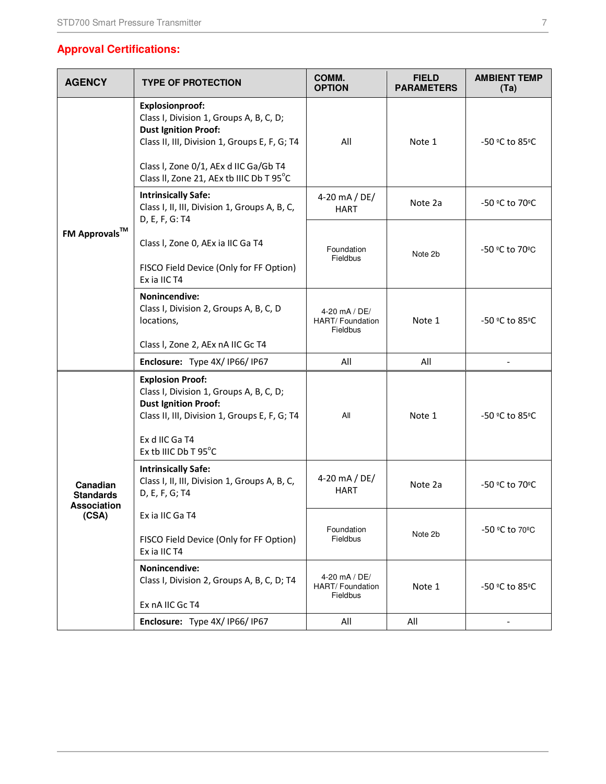### **Approval Certifications:**

| <b>AGENCY</b>                                               | <b>TYPE OF PROTECTION</b>                                                                                                                                                                                                              | COMM.<br><b>OPTION</b>                               | <b>FIELD</b><br><b>PARAMETERS</b> | <b>AMBIENT TEMP</b><br>(Ta) |
|-------------------------------------------------------------|----------------------------------------------------------------------------------------------------------------------------------------------------------------------------------------------------------------------------------------|------------------------------------------------------|-----------------------------------|-----------------------------|
|                                                             | <b>Explosionproof:</b><br>Class I, Division 1, Groups A, B, C, D;<br><b>Dust Ignition Proof:</b><br>Class II, III, Division 1, Groups E, F, G; T4<br>Class I, Zone 0/1, AEx d IIC Ga/Gb T4<br>Class II, Zone 21, AEx tb IIIC Db T 95°C | All                                                  | Note 1                            | -50 °C to 85°C              |
|                                                             | <b>Intrinsically Safe:</b><br>Class I, II, III, Division 1, Groups A, B, C,<br>D, E, F, G: T4                                                                                                                                          | 4-20 mA / DE/<br><b>HART</b>                         | Note 2a                           | -50 °C to 70°C              |
| <b>FM Approvals™</b>                                        | Class I, Zone 0, AEx ia IIC Ga T4<br>FISCO Field Device (Only for FF Option)<br>Ex ia IIC T4                                                                                                                                           | Foundation<br>Fieldbus                               | Note 2b                           | -50 °C to 70°C              |
|                                                             | <b>Nonincendive:</b><br>Class I, Division 2, Groups A, B, C, D<br>locations,                                                                                                                                                           | 4-20 mA / DE/<br>HART/ Foundation<br><b>Fieldbus</b> | Note 1                            | -50 °C to 85°C              |
|                                                             | Class I, Zone 2, AEx nA IIC Gc T4                                                                                                                                                                                                      |                                                      |                                   |                             |
|                                                             | Enclosure: Type 4X/IP66/IP67                                                                                                                                                                                                           | All                                                  | All                               |                             |
|                                                             | <b>Explosion Proof:</b><br>Class I, Division 1, Groups A, B, C, D;<br><b>Dust Ignition Proof:</b><br>Class II, III, Division 1, Groups E, F, G; T4<br>Ex d IIC Ga T4<br>Ex tb IIIC Db T 95°C                                           | All                                                  | Note 1                            | -50 °C to 85°C              |
| Canadian<br><b>Standards</b><br><b>Association</b><br>(CSA) | <b>Intrinsically Safe:</b><br>Class I, II, III, Division 1, Groups A, B, C,<br>D, E, F, G; T4                                                                                                                                          | 4-20 mA / DE/<br><b>HART</b>                         | Note 2a                           | -50 °C to 70°C              |
|                                                             | ExialIC GaT4<br>FISCO Field Device (Only for FF Option)<br>Ex ia IIC T4                                                                                                                                                                | Foundation<br>Fieldbus                               | Note 2b                           | -50 °C to 70°C              |
|                                                             | <b>Nonincendive:</b><br>Class I, Division 2, Groups A, B, C, D; T4<br>Ex nA IIC Gc T4                                                                                                                                                  | 4-20 mA / DE/<br>HART/Foundation<br>Fieldbus         | Note 1                            | -50 °C to 85°C              |
|                                                             | Enclosure: Type 4X/IP66/IP67                                                                                                                                                                                                           | All                                                  | All                               |                             |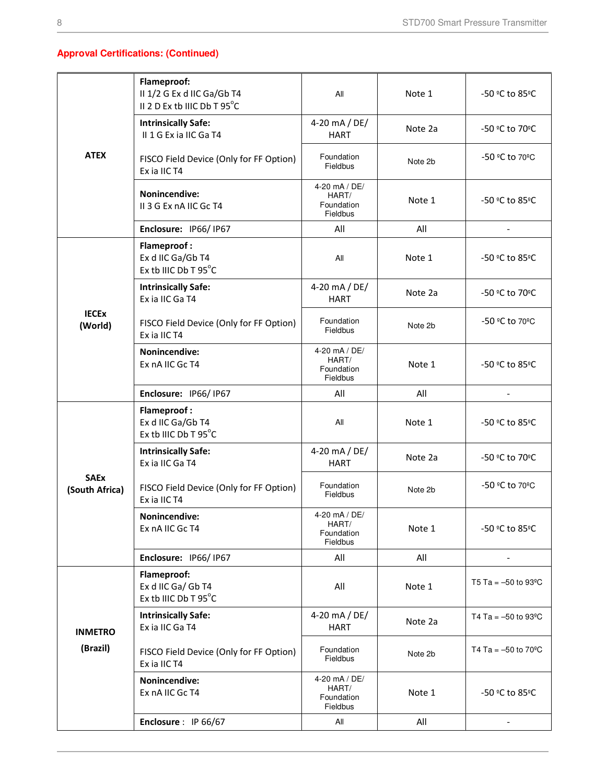### **Approval Certifications: (Continued)**

|                               | Flameproof:<br>II 1/2 G Ex d IIC Ga/Gb T4<br>II 2 D Ex tb IIIC Db T 95°C | All                                                     | Note 1  | -50 °C to 85°C                     |
|-------------------------------|--------------------------------------------------------------------------|---------------------------------------------------------|---------|------------------------------------|
|                               | <b>Intrinsically Safe:</b><br>II 1 G Ex ia IIC Ga T4                     | 4-20 mA / DE/<br><b>HART</b>                            | Note 2a | -50 °C to 70°C                     |
| <b>ATEX</b>                   | FISCO Field Device (Only for FF Option)<br>Ex ia IIC T4                  | Foundation<br><b>Fieldbus</b>                           | Note 2b | -50 °C to 70°C                     |
|                               | <b>Nonincendive:</b><br>II 3 G Ex nA IIC Gc T4                           | 4-20 mA / DE/<br>HART/<br>Foundation<br><b>Fieldbus</b> | Note 1  | -50 °C to 85°C                     |
|                               | Enclosure: IP66/IP67                                                     | All                                                     | All     |                                    |
|                               | <b>Flameproof:</b><br>Ex d IIC Ga/Gb T4<br>Ex tb IIIC Db T 95°C          | All                                                     | Note 1  | -50 °C to 85°C                     |
|                               | <b>Intrinsically Safe:</b><br>Ex ia IIC Ga T4                            | 4-20 mA / DE/<br><b>HART</b>                            | Note 2a | -50 °C to 70°C                     |
| <b>IECEX</b><br>(World)       | FISCO Field Device (Only for FF Option)<br>Ex ia IIC T4                  | Foundation<br>Fieldbus                                  | Note 2b | -50 °C to 70°C                     |
|                               | Nonincendive:<br>Ex nA IIC Gc T4                                         | 4-20 mA / DE/<br>HART/<br>Foundation<br>Fieldbus        | Note 1  | -50 ºC to 85ºC                     |
|                               | Enclosure: IP66/IP67                                                     | All                                                     | All     | $\overline{a}$                     |
|                               | <b>Flameproof:</b><br>Ex d IIC Ga/Gb T4<br>Ex tb IIIC Db T 95°C          | All                                                     | Note 1  | -50 °C to 85°C                     |
|                               | <b>Intrinsically Safe:</b><br>Ex ia IIC Ga T4                            | 4-20 mA / DE/<br><b>HART</b>                            | Note 2a | -50 °C to 70°C                     |
| <b>SAEx</b><br>(South Africa) | FISCO Field Device (Only for FF Option)<br>Ex ia IIC T4                  | Foundation<br>Fieldbus                                  | Note 2b | -50 °C to 70°C                     |
|                               | Nonincendive:<br>Ex nA IIC Gc T4                                         | 4-20 mA / DE/<br>HART/<br>Foundation<br>Fieldbus        | Note 1  | -50 °C to 85°C                     |
|                               | Enclosure: IP66/IP67                                                     | All                                                     | All     |                                    |
|                               | Flameproof:<br>Ex d IIC Ga/ Gb T4<br>Ex tb IIIC Db T 95°C                | All                                                     | Note 1  | T5 Ta = $-50$ to 93 <sup>o</sup> C |
| <b>INMETRO</b>                | <b>Intrinsically Safe:</b><br>Ex ia IIC Ga T4                            | 4-20 mA / DE/<br><b>HART</b>                            | Note 2a | T4 Ta = $-50$ to 93 <sup>o</sup> C |
| (Brazil)                      | FISCO Field Device (Only for FF Option)<br>Ex ia IIC T4                  | Foundation<br><b>Fieldbus</b>                           | Note 2b | T4 Ta = $-50$ to 70 <sup>o</sup> C |
|                               | Nonincendive:<br>Ex nA IIC Gc T4                                         | 4-20 mA / DE/<br>HART/<br>Foundation<br>Fieldbus        | Note 1  | -50 °C to 85°C                     |
|                               | Enclosure: IP 66/67                                                      | All                                                     | All     |                                    |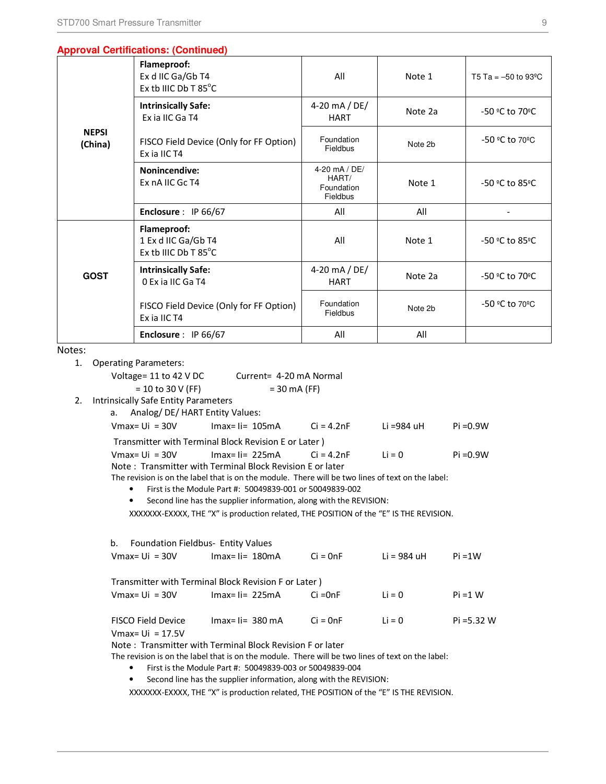#### **Approval Certifications: (Continued)**

| <b>NEPSI</b><br>(China) | Flameproof:<br>Ex d IIC Ga/Gb T4<br>Ex tb IIIC Db T 85°C   | All                                              | Note 1  | T5 Ta = $-50$ to 93 <sup>o</sup> C |
|-------------------------|------------------------------------------------------------|--------------------------------------------------|---------|------------------------------------|
|                         | <b>Intrinsically Safe:</b><br>Ex ia IIC Ga T4              | 4-20 mA / DE/<br><b>HART</b>                     | Note 2a | -50 °C to 70°C                     |
|                         | FISCO Field Device (Only for FF Option)<br>Ex ia IIC T4    | Foundation<br>Fieldbus                           | Note 2b | -50 °C to 70°C                     |
|                         | <b>Nonincendive:</b><br>Ex nA IIC Gc T4                    | 4-20 mA / DE/<br>HART/<br>Foundation<br>Fieldbus | Note 1  | -50 °C to 85°C                     |
|                         | Enclosure: IP 66/67                                        | All                                              | All     |                                    |
|                         | Flameproof:<br>1 Ex d IIC Ga/Gb T4<br>Ex tb IIIC Db T 85°C | All                                              | Note 1  | -50 °C to 85°C                     |
| <b>GOST</b>             | <b>Intrinsically Safe:</b><br>0 Ex ia IIC Ga T4            | 4-20 mA / DE/<br><b>HART</b>                     | Note 2a | -50 °C to 70°C                     |
|                         | FISCO Field Device (Only for FF Option)<br>Ex ia IIC T4    | Foundation<br>Fieldbus                           | Note 2b | -50 °C to 70°C                     |
| .                       | Enclosure: IP 66/67                                        | All                                              | All     |                                    |

Notes:

1. Operating Parameters:

Voltage= 11 to 42 V DC Current= 4-20 mA Normal

> $= 10$  to 30 V (FF)  $= 30$  mA (FF)

2. Intrinsically Safe Entity Parameters

a. Analog/ DE/ HART Entity Values:

| $V$ max= Ui = 30V | $Imax = I = 105mA$                                   | $Ci = 4.2nF$ | Li =984 uH | Pi = 0.9W |
|-------------------|------------------------------------------------------|--------------|------------|-----------|
|                   | Transmitter with Terminal Block Revision E or Later) |              |            |           |
| $V$ max= Ui = 30V | $Imax = I = 225mA$                                   | $Ci = 4.2nF$ | $Li = 0$   | Pi = 0.9W |

Note : Transmitter with Terminal Block Revision E or later

The revision is on the label that is on the module. There will be two lines of text on the label:

- First is the Module Part #: 50049839-001 or 50049839-002
- Second line has the supplier information, along with the REVISION:

XXXXXXX-EXXXX, THE "X" is production related, THE POSITION of the "E" IS THE REVISION.

```
b. Foundation Fieldbus- Entity Values
```

| Vmax= Ui  = 30V    | $Imax = I = 180mA$                                   | $Ci = OnF$ | Li = 984 uH | $Pi = 1W$     |
|--------------------|------------------------------------------------------|------------|-------------|---------------|
|                    | Transmitter with Terminal Block Revision F or Later) |            |             |               |
| Vmax= Ui  = 30V    | $Imax = I = 225mA$                                   | Ci =0nF    | $Li = 0$    | $Pi = 1 W$    |
| FISCO Field Device | $Imax = I = 380 mA$                                  | $Ci = OnF$ | $Li = 0$    | $Pi = 5.32 W$ |

 $V$ max= Ui = 17.5V

Note : Transmitter with Terminal Block Revision F or later

The revision is on the label that is on the module. There will be two lines of text on the label:

- First is the Module Part #: 50049839-003 or 50049839-004
- Second line has the supplier information, along with the REVISION:

XXXXXXX-EXXXX, THE "X" is production related, THE POSITION of the "E" IS THE REVISION.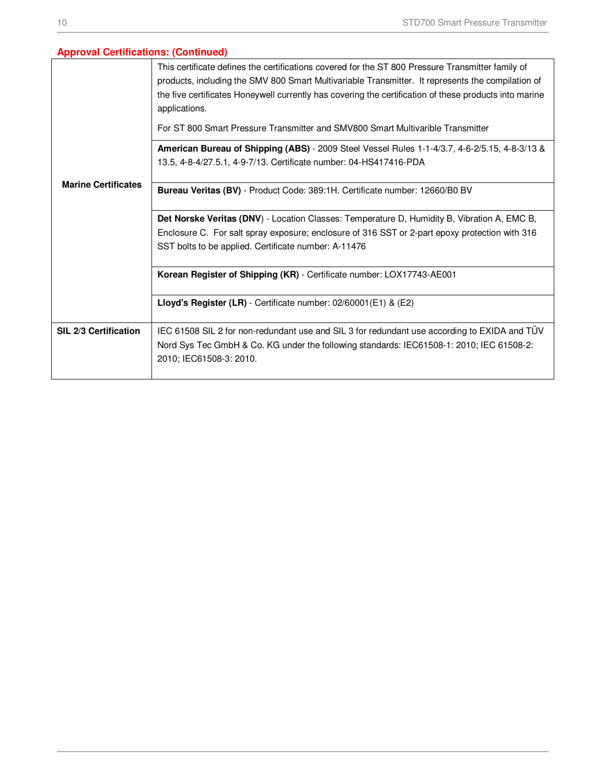### **Approval Certifications: (Continued)**

|                            | This certificate defines the certifications covered for the ST 800 Pressure Transmitter family of<br>products, including the SMV 800 Smart Multivariable Transmitter. It represents the compilation of<br>the five certificates Honeywell currently has covering the certification of these products into marine<br>applications.<br>For ST 800 Smart Pressure Transmitter and SMV800 Smart Multivarible Transmitter |  |  |  |  |  |  |
|----------------------------|----------------------------------------------------------------------------------------------------------------------------------------------------------------------------------------------------------------------------------------------------------------------------------------------------------------------------------------------------------------------------------------------------------------------|--|--|--|--|--|--|
|                            | American Bureau of Shipping (ABS) - 2009 Steel Vessel Rules 1-1-4/3.7, 4-6-2/5.15, 4-8-3/13 &                                                                                                                                                                                                                                                                                                                        |  |  |  |  |  |  |
|                            | 13.5, 4-8-4/27.5.1, 4-9-7/13. Certificate number: 04-HS417416-PDA                                                                                                                                                                                                                                                                                                                                                    |  |  |  |  |  |  |
| <b>Marine Certificates</b> | Bureau Veritas (BV) - Product Code: 389:1H. Certificate number: 12660/B0 BV                                                                                                                                                                                                                                                                                                                                          |  |  |  |  |  |  |
|                            | Det Norske Veritas (DNV) - Location Classes: Temperature D, Humidity B, Vibration A, EMC B,                                                                                                                                                                                                                                                                                                                          |  |  |  |  |  |  |
|                            | Enclosure C. For salt spray exposure; enclosure of 316 SST or 2-part epoxy protection with 316                                                                                                                                                                                                                                                                                                                       |  |  |  |  |  |  |
|                            | SST bolts to be applied. Certificate number: A-11476                                                                                                                                                                                                                                                                                                                                                                 |  |  |  |  |  |  |
|                            | Korean Register of Shipping (KR) - Certificate number: LOX17743-AE001                                                                                                                                                                                                                                                                                                                                                |  |  |  |  |  |  |
|                            | Lloyd's Register (LR) - Certificate number: 02/60001(E1) & (E2)                                                                                                                                                                                                                                                                                                                                                      |  |  |  |  |  |  |
| SIL 2/3 Certification      | IEC 61508 SIL 2 for non-redundant use and SIL 3 for redundant use according to EXIDA and TÜV                                                                                                                                                                                                                                                                                                                         |  |  |  |  |  |  |
|                            | Nord Sys Tec GmbH & Co. KG under the following standards: IEC61508-1: 2010; IEC 61508-2:<br>2010; IEC61508-3: 2010.                                                                                                                                                                                                                                                                                                  |  |  |  |  |  |  |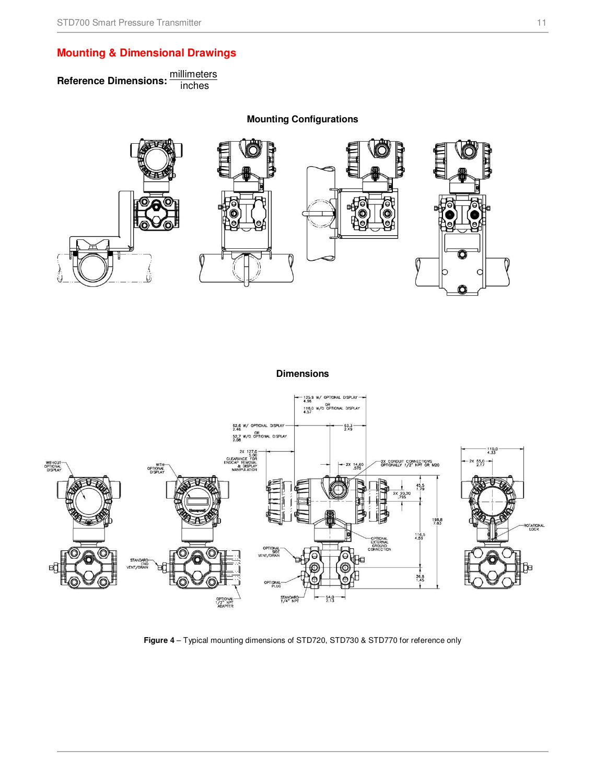### **Mounting & Dimensional Drawings**

Reference Dimensions: **millimeters** 

**Mounting Configurations** 

**Dimensions** 



**Figure 4** – Typical mounting dimensions of STD720, STD730 & STD770 for reference only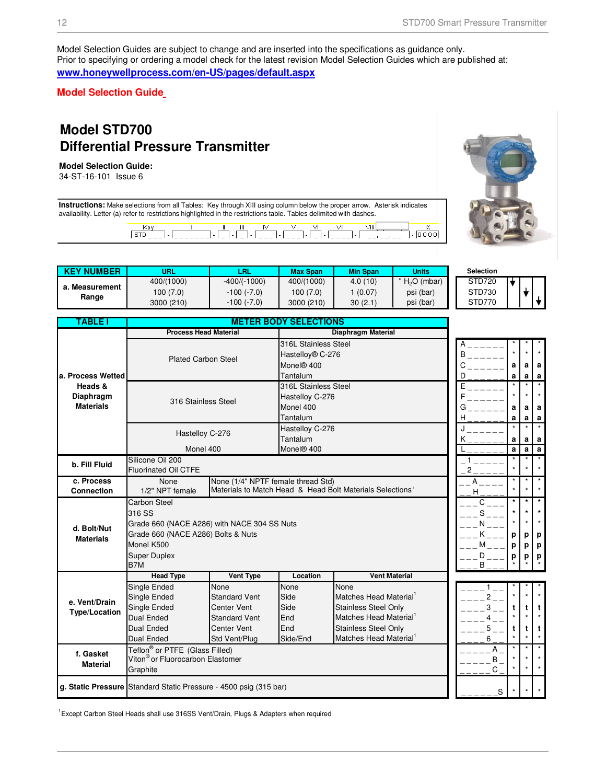Model Selection Guides are subject to change and are inserted into the specifications as guidance only. Prior to specifying or ordering a model check for the latest revision Model Selection Guides which are published at: **www.honeywellprocess.com/en-US/pages/default.aspx**

**Model Selection Guide** 

## **Model STD700 Differential Pressure Transmitter**

#### **Model Selection Guide:**

34-ST-16-101 Issue 6

**Instructions:** Make selections from all Tables: Key through XIII using column below the proper arrow. Asterisk indicates availability. Letter (a) refer to restrictions highlighted in the restrictions table. Tables delimited with dashes.

 $\overline{\mathsf{K}}$  $\bar{ }$  -  $\overline{ }$   $\overline{ }$   $\overline{ }$   $\overline{ }$   $\overline{ }$   $\overline{ }$   $\overline{ }$   $\overline{ }$   $\overline{ }$   $\overline{ }$   $\overline{ }$   $\overline{ }$   $\overline{ }$   $\overline{ }$   $\overline{ }$   $\overline{ }$   $\overline{ }$   $\overline{ }$   $\overline{ }$   $\overline{ }$   $\overline{ }$   $\overline{ }$   $\overline{ }$   $\overline{ }$   $\overline{ }$   $\overline{ }$   $\overline$ 

| <b>KEY NUMBER</b> | <b>URL</b> | LRL               | <b>Max Span</b> | <b>Min Span</b> | <b>Units</b>   | Selection |
|-------------------|------------|-------------------|-----------------|-----------------|----------------|-----------|
|                   | 400/(1000) | $-400/(-1000)$    | 400/(1000)      | 4.0(10)         | " $H2O$ (mbar) | STD720    |
| . Measurement     | 100 (7.0)  | $-100$ $(-7.0)$   | 100 (7.0)       | (0.07)          | psi (bar)      | STD730    |
| Range             | 3000 (210) | $-100$ ( $-7.0$ ) | 3000 (210)      | 30(2.1)         | psi (bar)      | STD770    |

| <b>TABLE I</b>                |                                                                                            |                                    | <b>METER BODY SELECTIONS</b> |                                                           |        |        |        |                   |
|-------------------------------|--------------------------------------------------------------------------------------------|------------------------------------|------------------------------|-----------------------------------------------------------|--------|--------|--------|-------------------|
|                               | <b>Process Head Material</b>                                                               |                                    |                              | <b>Diaphragm Material</b>                                 |        |        |        |                   |
|                               |                                                                                            |                                    | 316L Stainless Steel         |                                                           |        |        |        |                   |
|                               | <b>Plated Carbon Steel</b>                                                                 |                                    | Hastelloy® C-276             |                                                           | В      |        |        |                   |
|                               |                                                                                            |                                    | Monel <sup>®</sup> 400       |                                                           | C      | a      | a      | a                 |
| a. Process Wetted             |                                                                                            |                                    | Tantalum                     |                                                           | D      | a      | a      | a<br>$\star$      |
| Heads &                       |                                                                                            |                                    | 316L Stainless Steel         |                                                           | E      |        |        |                   |
| Diaphragm<br><b>Materials</b> | 316 Stainless Steel                                                                        |                                    | Hastelloy C-276              |                                                           |        |        |        |                   |
|                               |                                                                                            |                                    | Monel 400                    |                                                           | G      | a      | a      | a                 |
|                               |                                                                                            |                                    | Tantalum                     |                                                           | н      | a      | a      | a<br>$\star$      |
|                               | Hastelloy C-276                                                                            |                                    | Hastelloy C-276<br>Tantalum  |                                                           |        |        |        |                   |
|                               | Monel 400                                                                                  |                                    | Monel® 400                   |                                                           | ĸ      | a<br>a | a<br>a | a<br>$\mathbf{a}$ |
|                               | Silicone Oil 200                                                                           |                                    |                              |                                                           |        |        |        | $\star$           |
| b. Fill Fluid                 | <b>Fluorinated Oil CTFE</b>                                                                |                                    | 2                            |                                                           |        |        |        |                   |
| c. Process                    | None                                                                                       | None (1/4" NPTF female thread Std) |                              |                                                           | А      |        |        | $\star$           |
| <b>Connection</b>             | 1/2" NPT female                                                                            |                                    |                              | Materials to Match Head & Head Bolt Materials Selections' | H      |        |        |                   |
|                               | <b>Carbon Steel</b>                                                                        |                                    |                              |                                                           | C      |        |        | $^{\star}$        |
|                               | 316 SS                                                                                     |                                    | S                            |                                                           |        |        |        |                   |
| d. Bolt/Nut                   | Grade 660 (NACE A286) with NACE 304 SS Nuts                                                |                                    |                              |                                                           |        |        |        |                   |
| <b>Materials</b>              | Grade 660 (NACE A286) Bolts & Nuts                                                         |                                    |                              | р                                                         | р      | p      |        |                   |
|                               | Monel K500                                                                                 |                                    |                              |                                                           | м      | р      | p      | p                 |
|                               | <b>Super Duplex</b>                                                                        |                                    |                              |                                                           | D      | р      | р      | р                 |
|                               | B7M                                                                                        |                                    |                              |                                                           | B      |        |        |                   |
|                               | <b>Head Type</b>                                                                           | Vent Type                          | Location                     | <b>Vent Material</b>                                      |        |        |        |                   |
|                               | Single Ended                                                                               | <b>None</b>                        | None                         | <b>None</b>                                               |        |        |        |                   |
| e. Vent/Drain                 | Single Ended                                                                               | <b>Standard Vent</b>               | Side                         | Matches Head Material                                     | 2      |        |        |                   |
| <b>Type/Location</b>          | Single Ended                                                                               | <b>Center Vent</b>                 | Side                         | Stainless Steel Only                                      | 3      | t      |        | t                 |
|                               | <b>Dual Ended</b>                                                                          | <b>Standard Vent</b>               | End                          | Matches Head Material                                     | 4      |        |        |                   |
|                               | <b>Dual Ended</b>                                                                          | <b>Center Vent</b>                 | End                          | Stainless Steel Only<br>Matches Head Material             | 5      | t      | t      | t                 |
|                               | <b>Dual Ended</b>                                                                          | Std Vent/Plug                      | Side/End                     |                                                           | 6<br>Α |        |        | $\star$           |
| f. Gasket                     | Teflon <sup>®</sup> or PTFE (Glass Filled)<br>Viton <sup>®</sup> or Fluorocarbon Elastomer |                                    |                              |                                                           | B      |        |        |                   |
| <b>Material</b>               | Graphite                                                                                   |                                    |                              |                                                           | С      |        |        |                   |
|                               |                                                                                            |                                    |                              |                                                           |        |        |        |                   |
|                               | g. Static Pressure Standard Static Pressure - 4500 psig (315 bar)                          |                                    | S                            |                                                           |        |        |        |                   |

<sup>1</sup> Except Carbon Steel Heads shall use 316SS Vent/Drain, Plugs & Adapters when required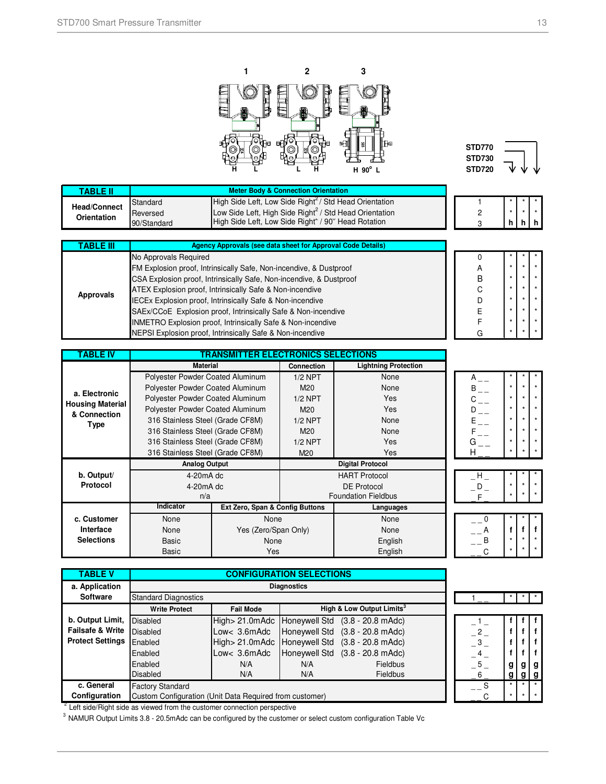



| TABLE II            |             |                                                                    |  |  |        |
|---------------------|-------------|--------------------------------------------------------------------|--|--|--------|
| <b>Head/Connect</b> | Standard    | High Side Left, Low Side Right <sup>2</sup> / Std Head Orientation |  |  |        |
| Orientation         | Reversed    | Low Side Left, High Side Right <sup>2</sup> / Std Head Orientation |  |  |        |
|                     | 90/Standard | High Side Left, Low Side Right <sup>2</sup> / 90° Head Rotation    |  |  | h   h' |

| TABLE III | <b>Agency Approvals (see data sheet for Approval Code Details)</b>     |   |  |  |
|-----------|------------------------------------------------------------------------|---|--|--|
|           | No Approvals Required                                                  |   |  |  |
|           | FM Explosion proof, Intrinsically Safe, Non-incendive, & Dustproof     | А |  |  |
|           | CSA Explosion proof, Intrinsically Safe, Non-incendive, & Dustproof    | B |  |  |
|           | ATEX Explosion proof, Intrinsically Safe & Non-incendive               |   |  |  |
| Approvals | IECEx Explosion proof, Intrinsically Safe & Non-incendive              |   |  |  |
|           | SAEx/CCoE Explosion proof, Intrinsically Safe & Non-incendive          |   |  |  |
|           | <b>INMETRO Explosion proof, Intrinsically Safe &amp; Non-incendive</b> |   |  |  |
|           | NEPSI Explosion proof, Intrinsically Safe & Non-incendive              |   |  |  |

| <b>ABLE IV</b>                           | <b>TRANSMITTER ELECTRONICS SELECTIONS</b> |                                 |                   |                             |
|------------------------------------------|-------------------------------------------|---------------------------------|-------------------|-----------------------------|
|                                          | <b>Material</b>                           |                                 | <b>Connection</b> | <b>Lightning Protection</b> |
|                                          | Polyester Powder Coated Aluminum          |                                 | $1/2$ NPT         | None                        |
|                                          | Polyester Powder Coated Aluminum          |                                 | M20               | None                        |
| a. Electronic<br><b>Housing Material</b> | Polyester Powder Coated Aluminum          |                                 | $1/2$ NPT         | <b>Yes</b>                  |
| & Connection                             | Polyester Powder Coated Aluminum          |                                 | M20               | <b>Yes</b>                  |
| <b>Type</b>                              | 316 Stainless Steel (Grade CF8M)          |                                 | $1/2$ NPT         | None                        |
|                                          | 316 Stainless Steel (Grade CF8M)          |                                 | M20               | None                        |
|                                          | 316 Stainless Steel (Grade CF8M)          |                                 | $1/2$ NPT         | <b>Yes</b>                  |
|                                          | 316 Stainless Steel (Grade CF8M)          |                                 | M <sub>20</sub>   | Yes                         |
|                                          | <b>Analog Output</b>                      |                                 |                   | <b>Digital Protocol</b>     |
| b. Output/                               | $4-20mA$ dc                               |                                 |                   | <b>HART Protocol</b>        |
| Protocol                                 | $4-20mA$ dc                               |                                 |                   | <b>DE Protocol</b>          |
|                                          | n/a                                       |                                 |                   | <b>Foundation Fieldbus</b>  |
|                                          | Indicator                                 | Ext Zero, Span & Config Buttons |                   | Languages                   |
| c. Customer                              | None                                      | None                            |                   | None                        |
| Interface                                | None                                      | Yes (Zero/Span Only)            |                   | None                        |
| <b>Selections</b>                        | Basic                                     | None                            |                   | English                     |
|                                          | Basic                                     | Yes                             |                   | English                     |

|         | * |  |
|---------|---|--|
|         |   |  |
| ż       | k |  |
| $\star$ | * |  |
| ż       |   |  |
|         |   |  |

| n |   |   |   |
|---|---|---|---|
| ∸ |   |   |   |
| B | × | × | л |
|   |   |   | × |

| <b>TABLE V</b>              |                                                         | <b>CONFIGURATION SELECTIONS</b> |                    |                                                   |  |     |   |     |   |
|-----------------------------|---------------------------------------------------------|---------------------------------|--------------------|---------------------------------------------------|--|-----|---|-----|---|
| a. Application              |                                                         |                                 | <b>Diagnostics</b> |                                                   |  |     |   |     |   |
| <b>Software</b>             | <b>Standard Diagnostics</b>                             |                                 |                    |                                                   |  |     |   |     |   |
|                             | <b>Write Protect</b>                                    | <b>Fail Mode</b>                |                    | High & Low Output Limits <sup>3</sup>             |  |     |   |     |   |
| b. Output Limit,            | <b>Disabled</b>                                         |                                 |                    | High > 21.0mAdc   Honeywell Std (3.8 - 20.8 mAdc) |  |     |   |     |   |
| <b>Failsafe &amp; Write</b> | <b>Disabled</b>                                         | Low< 3.6mAdc                    |                    | Honeywell Std (3.8 - 20.8 mAdc)                   |  | 2   |   |     |   |
| <b>Protect Settings</b>     | Enabled                                                 |                                 |                    | High > 21.0mAdc   Honeywell Std (3.8 - 20.8 mAdc) |  | -3  |   |     |   |
|                             | Enabled                                                 | Low< 3.6mAdc                    |                    | Honeywell Std (3.8 - 20.8 mAdc)                   |  | 4   |   |     |   |
|                             | Enabled                                                 | N/A                             | N/A                | Fieldbus                                          |  | 5   | g | g l | g |
|                             | <b>Disabled</b>                                         | N/A                             | N/A                | <b>Fieldbus</b>                                   |  | 6   | g | a   |   |
| c. General                  | <b>Factory Standard</b>                                 |                                 |                    |                                                   |  | - S |   |     |   |
| Configuration               | Custom Configuration (Unit Data Reguired from customer) |                                 |                    |                                                   |  |     | ٠ |     |   |

 $2$  Left side/Right side as viewed from the customer connection perspective

<sup>3</sup> NAMUR Output Limits 3.8 - 20.5mAdc can be configured by the customer or select custom configuration Table Vc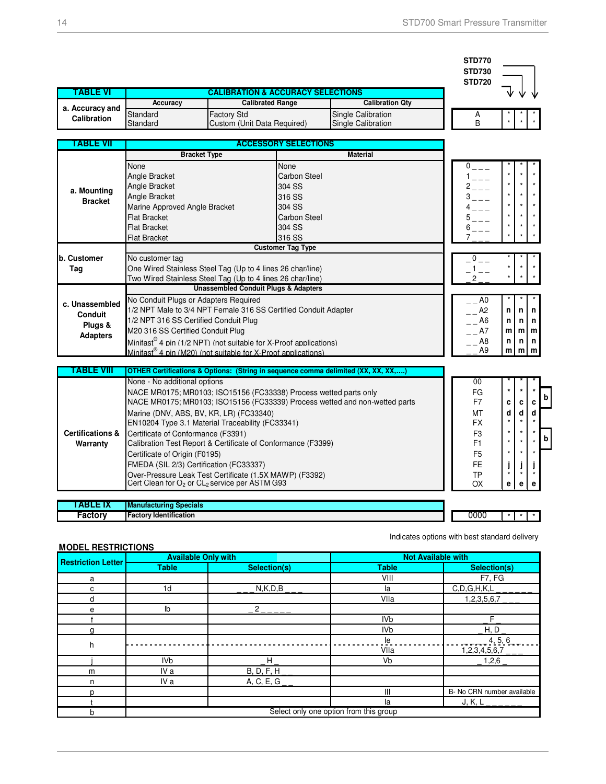|                                                                |                                                                                                                                                                                                                                                                                                                                                                                                                                                                                                                                                                                                       |                                                                                                                  |                                                                                                                                  |                                                                                   | <b>STD770</b><br><b>STD730</b>                                        |  |  |  |
|----------------------------------------------------------------|-------------------------------------------------------------------------------------------------------------------------------------------------------------------------------------------------------------------------------------------------------------------------------------------------------------------------------------------------------------------------------------------------------------------------------------------------------------------------------------------------------------------------------------------------------------------------------------------------------|------------------------------------------------------------------------------------------------------------------|----------------------------------------------------------------------------------------------------------------------------------|-----------------------------------------------------------------------------------|-----------------------------------------------------------------------|--|--|--|
|                                                                |                                                                                                                                                                                                                                                                                                                                                                                                                                                                                                                                                                                                       | <b>STD720</b>                                                                                                    |                                                                                                                                  |                                                                                   |                                                                       |  |  |  |
| TABLE VI                                                       | <b>Accuracy</b>                                                                                                                                                                                                                                                                                                                                                                                                                                                                                                                                                                                       | <b>Calibrated Range</b>                                                                                          |                                                                                                                                  | <b>CALIBRATION &amp; ACCURACY SELECTIONS</b><br><b>Calibration Qty</b>            |                                                                       |  |  |  |
| a. Accuracy and                                                | Standard                                                                                                                                                                                                                                                                                                                                                                                                                                                                                                                                                                                              | Factory Std                                                                                                      |                                                                                                                                  | Single Calibration                                                                |                                                                       |  |  |  |
| Calibration                                                    | Standard                                                                                                                                                                                                                                                                                                                                                                                                                                                                                                                                                                                              | Custom (Unit Data Required)                                                                                      |                                                                                                                                  | <b>Single Calibration</b>                                                         | Α<br>B                                                                |  |  |  |
| TABLE VII                                                      |                                                                                                                                                                                                                                                                                                                                                                                                                                                                                                                                                                                                       |                                                                                                                  |                                                                                                                                  |                                                                                   |                                                                       |  |  |  |
|                                                                | <b>ACCESSORY SELECTIONS</b><br><b>Material</b><br><b>Bracket Type</b>                                                                                                                                                                                                                                                                                                                                                                                                                                                                                                                                 |                                                                                                                  |                                                                                                                                  |                                                                                   |                                                                       |  |  |  |
| a. Mounting<br><b>Bracket</b>                                  | None<br>Angle Bracket<br>Angle Bracket<br>Angle Bracket<br>Marine Approved Angle Bracket<br><b>Flat Bracket</b><br><b>Flat Bracket</b><br><b>Flat Bracket</b>                                                                                                                                                                                                                                                                                                                                                                                                                                         |                                                                                                                  | None<br><b>Carbon Steel</b><br>304 SS<br>316 SS<br>304 SS<br><b>Carbon Steel</b><br>304 SS<br>316 SS<br><b>Customer Tag Type</b> |                                                                                   | $0$ <sub>---</sub><br>$1 - - -$<br>$2 - - -$<br>$3\,-\,-\,$<br>5<br>6 |  |  |  |
| b. Customer<br>Tag                                             | No customer tag<br>One Wired Stainless Steel Tag (Up to 4 lines 26 char/line)<br>Two Wired Stainless Steel Tag (Up to 4 lines 26 char/line)<br><b>Unassembled Conduit Plugs &amp; Adapters</b>                                                                                                                                                                                                                                                                                                                                                                                                        | $0$ <sub>--</sub><br>$-1$                                                                                        |                                                                                                                                  |                                                                                   |                                                                       |  |  |  |
| c. Unassembled<br><b>Conduit</b><br>Plugs &<br><b>Adapters</b> | No Conduit Plugs or Adapters Required<br>1/2 NPT Male to 3/4 NPT Female 316 SS Certified Conduit Adapter<br>1/2 NPT 316 SS Certified Conduit Plug<br>M20 316 SS Certified Conduit Plug<br>Minifast <sup>®</sup> 4 pin (1/2 NPT) (not suitable for X-Proof applications)<br>Minifast <sup>®</sup> 4 pin (M20) (not suitable for X-Proof applications)                                                                                                                                                                                                                                                  | A <sub>0</sub><br>A <sub>2</sub><br>A6<br>- A7<br>A8<br>A <sub>9</sub>                                           | n<br>n<br>m<br>n<br>m                                                                                                            | n<br>n<br>ml<br>n<br>m                                                            | n<br>n<br>m<br>n<br>m                                                 |  |  |  |
| <b>TABLE VIII</b>                                              |                                                                                                                                                                                                                                                                                                                                                                                                                                                                                                                                                                                                       |                                                                                                                  |                                                                                                                                  | OTHER Certifications & Options: (String in sequence comma delimited (XX, XX, XX,) |                                                                       |  |  |  |
| <b>Certifications &amp;</b><br>Warranty                        | None - No additional options<br>NACE MR0175; MR0103; ISO15156 (FC33338) Process wetted parts only<br>NACE MR0175; MR0103; ISO15156 (FC33339) Process wetted and non-wetted parts<br>Marine (DNV, ABS, BV, KR, LR) (FC33340)<br>EN10204 Type 3.1 Material Traceability (FC33341)<br>Certificate of Conformance (F3391)<br>Calibration Test Report & Certificate of Conformance (F3399)<br>Certificate of Origin (F0195)<br>FMEDA (SIL 2/3) Certification (FC33337)<br>Over-Pressure Leak Test Certificate (1.5X MAWP) (F3392)<br>Cert Clean for O <sub>2</sub> or CL <sub>2</sub> service per ASTM G93 | 00<br>FG<br>F7<br>MT<br><b>FX</b><br>F <sub>3</sub><br>F <sub>1</sub><br>F <sub>5</sub><br><b>FE</b><br>TP<br>OX | C<br>d<br>$\star$<br>j<br>$\star$<br>е                                                                                           | c<br>d<br>٠<br>e                                                                  | b<br>c<br>d<br>b<br>e                                                 |  |  |  |
| TABLE IX                                                       | <b>Manufacturing Specials</b>                                                                                                                                                                                                                                                                                                                                                                                                                                                                                                                                                                         |                                                                                                                  |                                                                                                                                  |                                                                                   |                                                                       |  |  |  |
| <b>Factory</b>                                                 | <b>Factory Identification</b>                                                                                                                                                                                                                                                                                                                                                                                                                                                                                                                                                                         | 0000                                                                                                             | $\star$                                                                                                                          |                                                                                   |                                                                       |  |  |  |

#### **MODEL RESTRICTIONS**

Indicates options with best standard delivery

|                           | <b>Available Only with</b>             |                   | <b>Not Available with</b> |                            |  |  |
|---------------------------|----------------------------------------|-------------------|---------------------------|----------------------------|--|--|
| <b>Restriction Letter</b> | <b>Table</b>                           | Selection(s)      | <b>Table</b>              | Selection(s)               |  |  |
| a                         |                                        |                   | VIII                      | F7, FG                     |  |  |
| c                         | 1 <sub>d</sub>                         | N, K, D, B        | la                        | C, D, G, H, K, L           |  |  |
| d                         |                                        |                   | VIIa                      | 1,2,3,5,6,7                |  |  |
| е                         | lb                                     | $\overline{2}$    |                           |                            |  |  |
|                           |                                        |                   | IV <sub>b</sub>           | Е                          |  |  |
| n                         |                                        |                   | IV <sub>b</sub>           | H, D                       |  |  |
| h                         |                                        |                   | le                        | 4, 5, 6                    |  |  |
|                           |                                        |                   | VIIa                      | 1,2,3,4,5,6,7              |  |  |
|                           | <b>IVb</b>                             | H                 | Vb                        | 1,2,6                      |  |  |
| m                         | IV a                                   | <b>B, D, F, H</b> |                           |                            |  |  |
| n                         | IV a                                   | A, C, E, G        |                           |                            |  |  |
| n                         |                                        |                   | $\mathbf{III}$            | B- No CRN number available |  |  |
|                           |                                        |                   | la                        | J, K, L                    |  |  |
| b                         | Select only one option from this group |                   |                           |                            |  |  |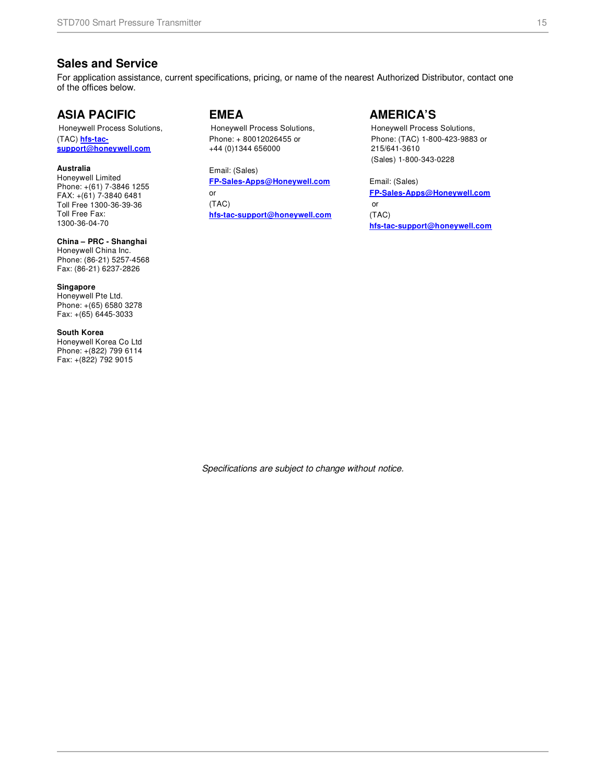### **Sales and Service**

For application assistance, current specifications, pricing, or name of the nearest Authorized Distributor, contact one of the offices below.

### **ASIA PACIFIC**

Honeywell Process Solutions, (TAC) **hfs-tacsupport@honeywell.com**

#### **Australia**

Honeywell Limited Phone: +(61) 7-3846 1255 FAX: +(61) 7-3840 6481 Toll Free 1300-36-39-36 Toll Free Fax: 1300-36-04-70

### **China – PRC - Shanghai**

Honeywell China Inc. Phone: (86-21) 5257-4568 Fax: (86-21) 6237-2826

**Singapore**  Honeywell Pte Ltd. Phone: +(65) 6580 3278 Fax: +(65) 6445-3033

#### **South Korea**

Honeywell Korea Co Ltd Phone: +(822) 799 6114 Fax: +(822) 792 9015

### **EMEA**

Honeywell Process Solutions, Phone: + 80012026455 or +44 (0)1344 656000

Email: (Sales) **FP-Sales-Apps@Honeywell.com**  or (TAC) **hfs-tac-support@honeywell.com**

### **AMERICA'S**

Honeywell Process Solutions, Phone: (TAC) 1-800-423-9883 or 215/641-3610 (Sales) 1-800-343-0228

Email: (Sales) **FP-Sales-Apps@Honeywell.com** or (TAC) **hfs-tac-support@honeywell.com**

Specifications are subject to change without notice.